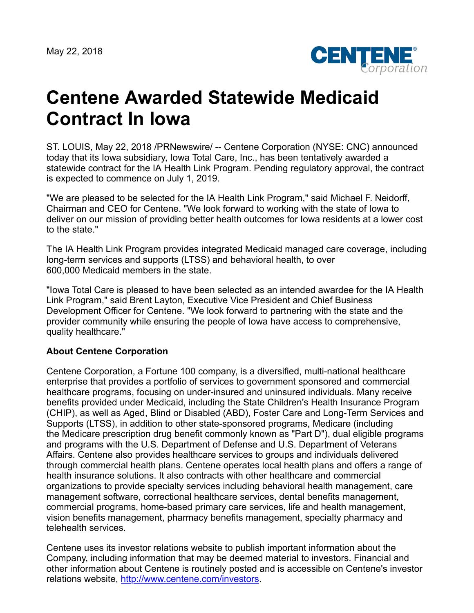

## **Centene Awarded Statewide Medicaid Contract In Iowa**

ST. LOUIS, May 22, 2018 /PRNewswire/ -- Centene Corporation (NYSE: CNC) announced today that its Iowa subsidiary, Iowa Total Care, Inc., has been tentatively awarded a statewide contract for the IA Health Link Program. Pending regulatory approval, the contract is expected to commence on July 1, 2019.

"We are pleased to be selected for the IA Health Link Program," said Michael F. Neidorff, Chairman and CEO for Centene. "We look forward to working with the state of Iowa to deliver on our mission of providing better health outcomes for Iowa residents at a lower cost to the state."

The IA Health Link Program provides integrated Medicaid managed care coverage, including long-term services and supports (LTSS) and behavioral health, to over 600,000 Medicaid members in the state.

"Iowa Total Care is pleased to have been selected as an intended awardee for the IA Health Link Program," said Brent Layton, Executive Vice President and Chief Business Development Officer for Centene. "We look forward to partnering with the state and the provider community while ensuring the people of Iowa have access to comprehensive, quality healthcare."

## **About Centene Corporation**

Centene Corporation, a Fortune 100 company, is a diversified, multi-national healthcare enterprise that provides a portfolio of services to government sponsored and commercial healthcare programs, focusing on under-insured and uninsured individuals. Many receive benefits provided under Medicaid, including the State Children's Health Insurance Program (CHIP), as well as Aged, Blind or Disabled (ABD), Foster Care and Long-Term Services and Supports (LTSS), in addition to other state-sponsored programs, Medicare (including the Medicare prescription drug benefit commonly known as "Part D"), dual eligible programs and programs with the U.S. Department of Defense and U.S. Department of Veterans Affairs. Centene also provides healthcare services to groups and individuals delivered through commercial health plans. Centene operates local health plans and offers a range of health insurance solutions. It also contracts with other healthcare and commercial organizations to provide specialty services including behavioral health management, care management software, correctional healthcare services, dental benefits management, commercial programs, home-based primary care services, life and health management, vision benefits management, pharmacy benefits management, specialty pharmacy and telehealth services.

Centene uses its investor relations website to publish important information about the Company, including information that may be deemed material to investors. Financial and other information about Centene is routinely posted and is accessible on Centene's investor relations website, <http://www.centene.com/investors>.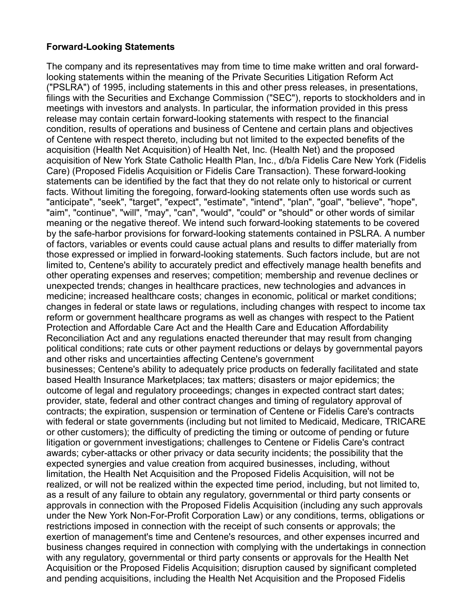## **Forward-Looking Statements**

The company and its representatives may from time to time make written and oral forwardlooking statements within the meaning of the Private Securities Litigation Reform Act ("PSLRA") of 1995, including statements in this and other press releases, in presentations, filings with the Securities and Exchange Commission ("SEC"), reports to stockholders and in meetings with investors and analysts. In particular, the information provided in this press release may contain certain forward-looking statements with respect to the financial condition, results of operations and business of Centene and certain plans and objectives of Centene with respect thereto, including but not limited to the expected benefits of the acquisition (Health Net Acquisition) of Health Net, Inc. (Health Net) and the proposed acquisition of New York State Catholic Health Plan, Inc., d/b/a Fidelis Care New York (Fidelis Care) (Proposed Fidelis Acquisition or Fidelis Care Transaction). These forward-looking statements can be identified by the fact that they do not relate only to historical or current facts. Without limiting the foregoing, forward-looking statements often use words such as "anticipate", "seek", "target", "expect", "estimate", "intend", "plan", "goal", "believe", "hope", "aim", "continue", "will", "may", "can", "would", "could" or "should" or other words of similar meaning or the negative thereof. We intend such forward-looking statements to be covered by the safe-harbor provisions for forward-looking statements contained in PSLRA. A number of factors, variables or events could cause actual plans and results to differ materially from those expressed or implied in forward-looking statements. Such factors include, but are not limited to, Centene's ability to accurately predict and effectively manage health benefits and other operating expenses and reserves; competition; membership and revenue declines or unexpected trends; changes in healthcare practices, new technologies and advances in medicine; increased healthcare costs; changes in economic, political or market conditions; changes in federal or state laws or regulations, including changes with respect to income tax reform or government healthcare programs as well as changes with respect to the Patient Protection and Affordable Care Act and the Health Care and Education Affordability Reconciliation Act and any regulations enacted thereunder that may result from changing political conditions; rate cuts or other payment reductions or delays by governmental payors and other risks and uncertainties affecting Centene's government businesses; Centene's ability to adequately price products on federally facilitated and state based Health Insurance Marketplaces; tax matters; disasters or major epidemics; the outcome of legal and regulatory proceedings; changes in expected contract start dates; provider, state, federal and other contract changes and timing of regulatory approval of contracts; the expiration, suspension or termination of Centene or Fidelis Care's contracts with federal or state governments (including but not limited to Medicaid, Medicare, TRICARE or other customers); the difficulty of predicting the timing or outcome of pending or future litigation or government investigations; challenges to Centene or Fidelis Care's contract awards; cyber-attacks or other privacy or data security incidents; the possibility that the expected synergies and value creation from acquired businesses, including, without limitation, the Health Net Acquisition and the Proposed Fidelis Acquisition, will not be realized, or will not be realized within the expected time period, including, but not limited to, as a result of any failure to obtain any regulatory, governmental or third party consents or approvals in connection with the Proposed Fidelis Acquisition (including any such approvals under the New York Non-For-Profit Corporation Law) or any conditions, terms, obligations or restrictions imposed in connection with the receipt of such consents or approvals; the exertion of management's time and Centene's resources, and other expenses incurred and business changes required in connection with complying with the undertakings in connection with any regulatory, governmental or third party consents or approvals for the Health Net Acquisition or the Proposed Fidelis Acquisition; disruption caused by significant completed and pending acquisitions, including the Health Net Acquisition and the Proposed Fidelis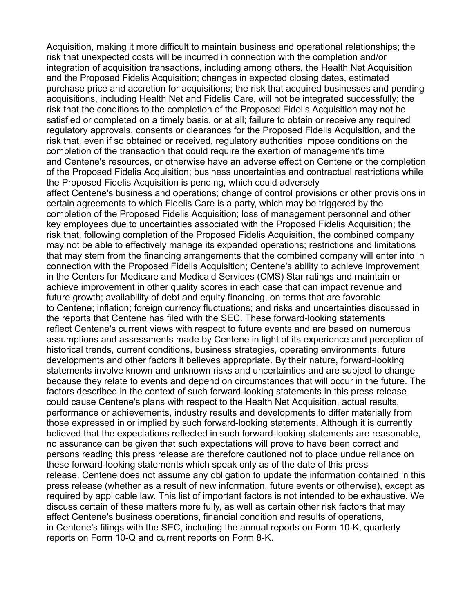Acquisition, making it more difficult to maintain business and operational relationships; the risk that unexpected costs will be incurred in connection with the completion and/or integration of acquisition transactions, including among others, the Health Net Acquisition and the Proposed Fidelis Acquisition; changes in expected closing dates, estimated purchase price and accretion for acquisitions; the risk that acquired businesses and pending acquisitions, including Health Net and Fidelis Care, will not be integrated successfully; the risk that the conditions to the completion of the Proposed Fidelis Acquisition may not be satisfied or completed on a timely basis, or at all; failure to obtain or receive any required regulatory approvals, consents or clearances for the Proposed Fidelis Acquisition, and the risk that, even if so obtained or received, regulatory authorities impose conditions on the completion of the transaction that could require the exertion of management's time and Centene's resources, or otherwise have an adverse effect on Centene or the completion of the Proposed Fidelis Acquisition; business uncertainties and contractual restrictions while the Proposed Fidelis Acquisition is pending, which could adversely affect Centene's business and operations; change of control provisions or other provisions in certain agreements to which Fidelis Care is a party, which may be triggered by the completion of the Proposed Fidelis Acquisition; loss of management personnel and other key employees due to uncertainties associated with the Proposed Fidelis Acquisition; the risk that, following completion of the Proposed Fidelis Acquisition, the combined company may not be able to effectively manage its expanded operations; restrictions and limitations that may stem from the financing arrangements that the combined company will enter into in connection with the Proposed Fidelis Acquisition; Centene's ability to achieve improvement in the Centers for Medicare and Medicaid Services (CMS) Star ratings and maintain or achieve improvement in other quality scores in each case that can impact revenue and future growth; availability of debt and equity financing, on terms that are favorable to Centene; inflation; foreign currency fluctuations; and risks and uncertainties discussed in the reports that Centene has filed with the SEC. These forward-looking statements reflect Centene's current views with respect to future events and are based on numerous assumptions and assessments made by Centene in light of its experience and perception of historical trends, current conditions, business strategies, operating environments, future developments and other factors it believes appropriate. By their nature, forward-looking statements involve known and unknown risks and uncertainties and are subject to change because they relate to events and depend on circumstances that will occur in the future. The factors described in the context of such forward-looking statements in this press release could cause Centene's plans with respect to the Health Net Acquisition, actual results, performance or achievements, industry results and developments to differ materially from those expressed in or implied by such forward-looking statements. Although it is currently believed that the expectations reflected in such forward-looking statements are reasonable, no assurance can be given that such expectations will prove to have been correct and persons reading this press release are therefore cautioned not to place undue reliance on these forward-looking statements which speak only as of the date of this press release. Centene does not assume any obligation to update the information contained in this press release (whether as a result of new information, future events or otherwise), except as required by applicable law. This list of important factors is not intended to be exhaustive. We discuss certain of these matters more fully, as well as certain other risk factors that may affect Centene's business operations, financial condition and results of operations, in Centene's filings with the SEC, including the annual reports on Form 10-K, quarterly reports on Form 10-Q and current reports on Form 8-K.